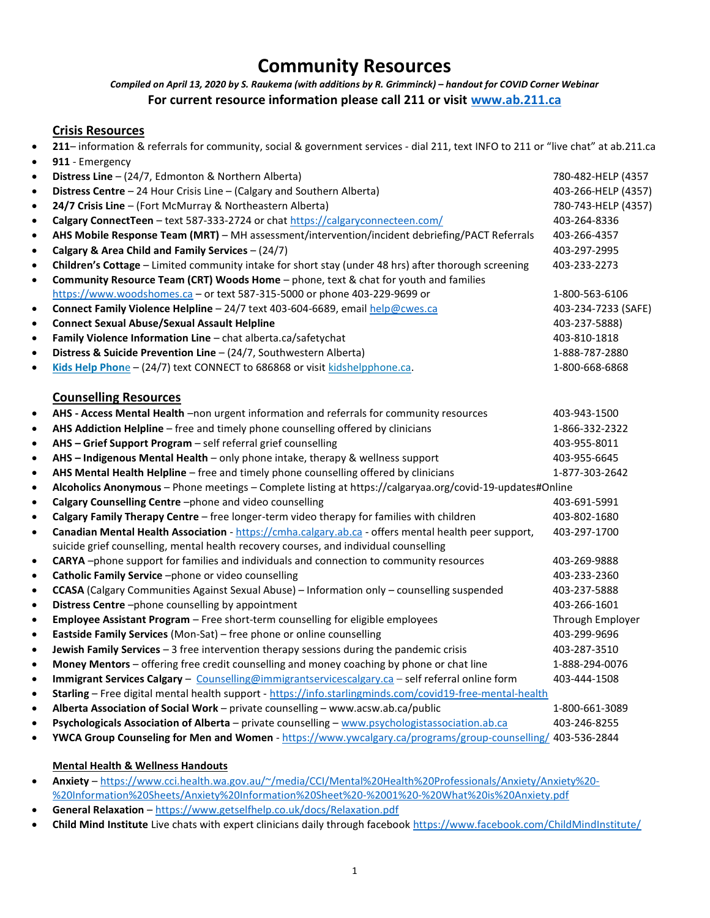# Community Resources

# Compiled on April 13, 2020 by S. Raukema (with additions by R. Grimminck) – handout for COVID Corner Webinar For current resource information please call 211 or visit www.ab.211.ca

## Crisis Resources

211– information & referrals for community, social & government services - dial 211, text INFO to 211 or "live chat" at ab.211.ca

| $\bullet$ | 911 - Emergency                                                                                             |                     |  |
|-----------|-------------------------------------------------------------------------------------------------------------|---------------------|--|
| $\bullet$ | Distress Line - (24/7, Edmonton & Northern Alberta)                                                         | 780-482-HELP (4357  |  |
| $\bullet$ | Distress Centre - 24 Hour Crisis Line - (Calgary and Southern Alberta)                                      | 403-266-HELP (4357) |  |
| $\bullet$ | 24/7 Crisis Line - (Fort McMurray & Northeastern Alberta)                                                   | 780-743-HELP (4357) |  |
| $\bullet$ | Calgary ConnectTeen - text 587-333-2724 or chat https://calgaryconnecteen.com/                              | 403-264-8336        |  |
| $\bullet$ | AHS Mobile Response Team (MRT) - MH assessment/intervention/incident debriefing/PACT Referrals              | 403-266-4357        |  |
| $\bullet$ | Calgary & Area Child and Family Services - (24/7)                                                           | 403-297-2995        |  |
| $\bullet$ | Children's Cottage - Limited community intake for short stay (under 48 hrs) after thorough screening        | 403-233-2273        |  |
| $\bullet$ | Community Resource Team (CRT) Woods Home - phone, text & chat for youth and families                        |                     |  |
|           | https://www.woodshomes.ca - or text 587-315-5000 or phone 403-229-9699 or                                   | 1-800-563-6106      |  |
| $\bullet$ | Connect Family Violence Helpline - 24/7 text 403-604-6689, email help@cwes.ca                               | 403-234-7233 (SAFE) |  |
| $\bullet$ | <b>Connect Sexual Abuse/Sexual Assault Helpline</b>                                                         | 403-237-5888)       |  |
| $\bullet$ | Family Violence Information Line - chat alberta.ca/safetychat                                               | 403-810-1818        |  |
| $\bullet$ | Distress & Suicide Prevention Line - (24/7, Southwestern Alberta)                                           | 1-888-787-2880      |  |
| $\bullet$ | Kids Help Phone - (24/7) text CONNECT to 686868 or visit kidshelpphone.ca.                                  | 1-800-668-6868      |  |
|           |                                                                                                             |                     |  |
|           | <b>Counselling Resources</b>                                                                                |                     |  |
| $\bullet$ | AHS - Access Mental Health -non urgent information and referrals for community resources                    | 403-943-1500        |  |
| $\bullet$ | AHS Addiction Helpline - free and timely phone counselling offered by clinicians                            | 1-866-332-2322      |  |
| $\bullet$ | AHS - Grief Support Program - self referral grief counselling                                               | 403-955-8011        |  |
| $\bullet$ | AHS - Indigenous Mental Health - only phone intake, therapy & wellness support                              | 403-955-6645        |  |
| $\bullet$ | AHS Mental Health Helpline - free and timely phone counselling offered by clinicians                        | 1-877-303-2642      |  |
| $\bullet$ | Alcoholics Anonymous - Phone meetings - Complete listing at https://calgaryaa.org/covid-19-updates#Online   |                     |  |
| $\bullet$ | Calgary Counselling Centre-phone and video counselling                                                      | 403-691-5991        |  |
| $\bullet$ | Calgary Family Therapy Centre - free longer-term video therapy for families with children                   | 403-802-1680        |  |
| $\bullet$ | Canadian Mental Health Association - https://cmha.calgary.ab.ca - offers mental health peer support,        | 403-297-1700        |  |
|           | suicide grief counselling, mental health recovery courses, and individual counselling                       |                     |  |
| $\bullet$ | CARYA-phone support for families and individuals and connection to community resources                      | 403-269-9888        |  |
| $\bullet$ | Catholic Family Service -phone or video counselling                                                         | 403-233-2360        |  |
| $\bullet$ | CCASA (Calgary Communities Against Sexual Abuse) - Information only - counselling suspended                 | 403-237-5888        |  |
| $\bullet$ | Distress Centre-phone counselling by appointment                                                            | 403-266-1601        |  |
| $\bullet$ | Employee Assistant Program - Free short-term counselling for eligible employees                             | Through Employer    |  |
| $\bullet$ | Eastside Family Services (Mon-Sat) - free phone or online counselling                                       | 403-299-9696        |  |
| $\bullet$ | Jewish Family Services - 3 free intervention therapy sessions during the pandemic crisis                    | 403-287-3510        |  |
| $\bullet$ | Money Mentors - offering free credit counselling and money coaching by phone or chat line                   | 1-888-294-0076      |  |
| $\bullet$ | Immigrant Services Calgary - Counselling@immigrantservicescalgary.ca - self referral online form            | 403-444-1508        |  |
| $\bullet$ | Starling - Free digital mental health support - https://info.starlingminds.com/covid19-free-mental-health   |                     |  |
| $\bullet$ | Alberta Association of Social Work - private counselling - www.acsw.ab.ca/public                            | 1-800-661-3089      |  |
| $\bullet$ | Psychologicals Association of Alberta - private counselling - www.psychologistassociation.ab.ca             | 403-246-8255        |  |
| $\bullet$ | YWCA Group Counseling for Men and Women - https://www.ywcalgary.ca/programs/group-counselling/ 403-536-2844 |                     |  |

#### Mental Health & Wellness Handouts

- Anxiety https://www.cci.health.wa.gov.au/~/media/CCI/Mental%20Health%20Professionals/Anxiety/Anxiety%20- %20Information%20Sheets/Anxiety%20Information%20Sheet%20-%2001%20-%20What%20is%20Anxiety.pdf
- General Relaxation https://www.getselfhelp.co.uk/docs/Relaxation.pdf
- Child Mind Institute Live chats with expert clinicians daily through facebook https://www.facebook.com/ChildMindInstitute/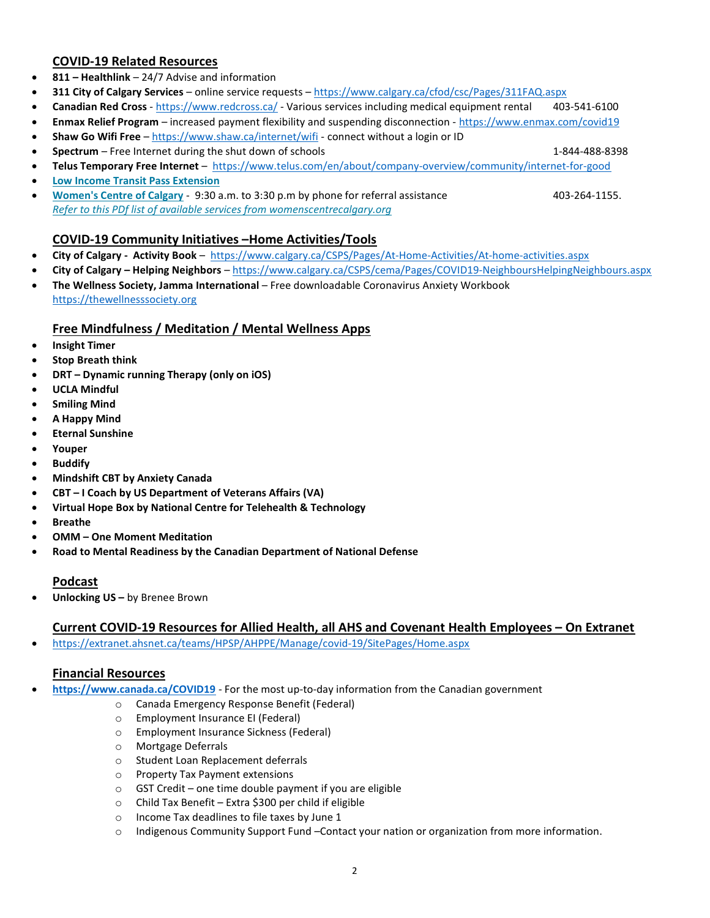## COVID-19 Related Resources

- 811 Healthlink 24/7 Advise and information
- 311 City of Calgary Services online service requests https://www.calgary.ca/cfod/csc/Pages/311FAQ.aspx
- Canadian Red Cross https://www.redcross.ca/ Various services including medical equipment rental 403-541-6100
- Enmax Relief Program increased payment flexibility and suspending disconnection https://www.enmax.com/covid19
- Shaw Go Wifi Free https://www.shaw.ca/internet/wifi connect without a login or ID
- **Spectrum** Free Internet during the shut down of schools 1-844-488-8398
- Telus Temporary Free Internet https://www.telus.com/en/about/company-overview/community/internet-for-good
- Low Income Transit Pass Extension
- Women's Centre of Calgary 9:30 a.m. to 3:30 p.m by phone for referral assistance 403-264-1155. Refer to this PDf list of available services from womenscentrecalgary.org

## COVID-19 Community Initiatives –Home Activities/Tools

- City of Calgary Activity Book https://www.calgary.ca/CSPS/Pages/At-Home-Activities/At-home-activities.aspx
- City of Calgary Helping Neighbors https://www.calgary.ca/CSPS/cema/Pages/COVID19-NeighboursHelpingNeighbours.aspx
- The Wellness Society, Jamma International Free downloadable Coronavirus Anxiety Workbook https://thewellnesssociety.org

#### Free Mindfulness / Meditation / Mental Wellness Apps

- **•** Insight Timer
- Stop Breath think
- DRT Dynamic running Therapy (only on iOS)
- UCLA Mindful
- Smiling Mind
- A Happy Mind
- Eternal Sunshine
- Youper
- Buddify
- Mindshift CBT by Anxiety Canada
- CBT I Coach by US Department of Veterans Affairs (VA)
- Virtual Hope Box by National Centre for Telehealth & Technology
- **•** Breathe
- OMM One Moment Meditation
- Road to Mental Readiness by the Canadian Department of National Defense

#### Podcast

Unlocking US – by Brenee Brown

#### Current COVID-19 Resources for Allied Health, all AHS and Covenant Health Employees – On Extranet

https://extranet.ahsnet.ca/teams/HPSP/AHPPE/Manage/covid-19/SitePages/Home.aspx

# Financial Resources

- https://www.canada.ca/COVID19 For the most up-to-day information from the Canadian government
	- o Canada Emergency Response Benefit (Federal)
	- o Employment Insurance EI (Federal)
	- o Employment Insurance Sickness (Federal)
	- o Mortgage Deferrals
	- o Student Loan Replacement deferrals
	- o Property Tax Payment extensions
	- o GST Credit one time double payment if you are eligible
	- o Child Tax Benefit Extra \$300 per child if eligible
	- o Income Tax deadlines to file taxes by June 1
	- o Indigenous Community Support Fund –Contact your nation or organization from more information.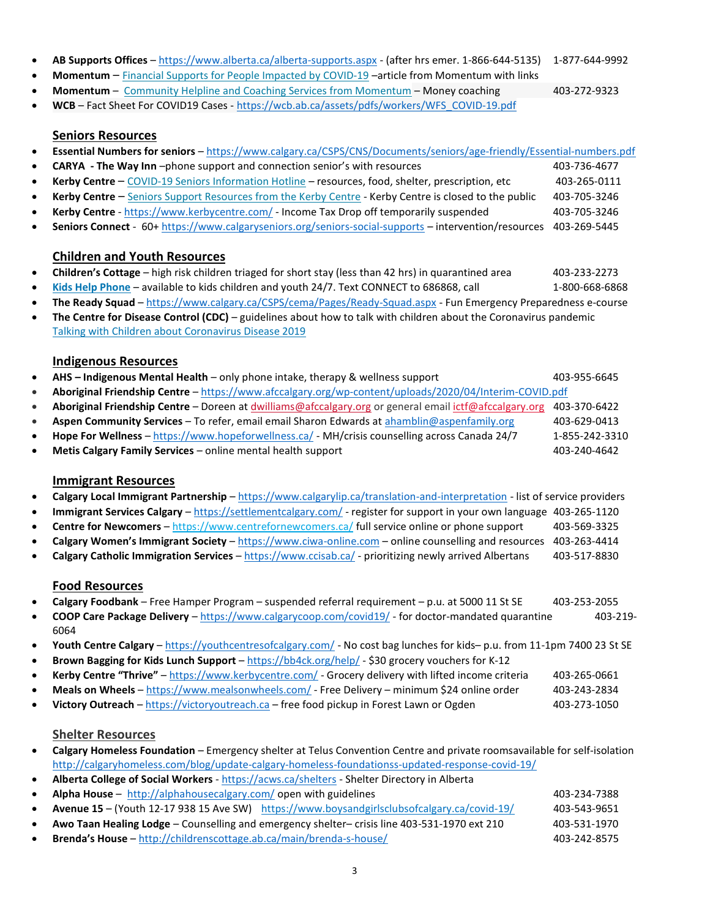- AB Supports Offices https://www.alberta.ca/alberta-supports.aspx (after hrs emer. 1-866-644-5135) 1-877-644-9992
- Momentum Financial Supports for People Impacted by COVID-19 –article from Momentum with links
- Momentum Community Helpline and Coaching Services from Momentum Money coaching 403-272-9323 WCB – Fact Sheet For COVID19 Cases - https://wcb.ab.ca/assets/pdfs/workers/WFS\_COVID-19.pdf

#### Seniors Resources

- Essential Numbers for seniors https://www.calgary.ca/CSPS/CNS/Documents/seniors/age-friendly/Essential-numbers.pdf
- **CARYA** The Way Inn -phone support and connection senior's with resources 403-736-4677
- Kerby Centre COVID-19 Seniors Information Hotline resources, food, shelter, prescription, etc 403-265-0111 Kerby Centre – Seniors Support Resources from the Kerby Centre - Kerby Centre is closed to the public 403-705-3246
- Kerby Centre https://www.kerbycentre.com/ Income Tax Drop off temporarily suspended 403-705-3246
- Seniors Connect 60+ https://www.calgaryseniors.org/seniors-social-supports intervention/resources 403-269-5445

## Children and Youth Resources

- Children's Cottage high risk children triaged for short stay (less than 42 hrs) in quarantined area 403-233-2273
- Kids Help Phone available to kids children and youth 24/7. Text CONNECT to 686868, call 1-800-668-6868
- The Ready Squad https://www.calgary.ca/CSPS/cema/Pages/Ready-Squad.aspx Fun Emergency Preparedness e-course
- The Centre for Disease Control (CDC) guidelines about how to talk with children about the Coronavirus pandemic Talking with Children about Coronavirus Disease 2019

#### Indigenous Resources

- AHS Indigenous Mental Health only phone intake, therapy & wellness support 403-955-6645 Aboriginal Friendship Centre – https://www.afccalgary.org/wp-content/uploads/2020/04/Interim-COVID.pdf
- Aboriginal Friendship Centre Doreen at dwilliams@afccalgary.org or general email ictf@afccalgary.org 403-370-6422
- Aspen Community Services To refer, email email Sharon Edwards at ahamblin@aspenfamily.org 403-629-0413
- Hope For Wellness https://www.hopeforwellness.ca/ MH/crisis counselling across Canada 24/7 1-855-242-3310
- Metis Calgary Family Services online mental health support 403-240-4642

#### Immigrant Resources

- Calgary Local Immigrant Partnership https://www.calgarylip.ca/translation-and-interpretation list of service providers
- Immigrant Services Calgary https://settlementcalgary.com/ register for support in your own language 403-265-1120
- Centre for Newcomers https://www.centrefornewcomers.ca/ full service online or phone support 403-569-3325
- Calgary Women's Immigrant Society https://www.ciwa-online.com online counselling and resources 403-263-4414
- Calgary Catholic Immigration Services https://www.ccisab.ca/ prioritizing newly arrived Albertans 403-517-8830

#### Food Resources

- Calgary Foodbank Free Hamper Program suspended referral requirement p.u. at 5000 11 St SE 403-253-2055
- COOP Care Package Delivery https://www.calgarycoop.com/covid19/ for doctor-mandated quarantine 403-219-6064
- Youth Centre Calgary https://youthcentresofcalgary.com/ No cost bag lunches for kids– p.u. from 11-1pm 7400 23 St SE
- Brown Bagging for Kids Lunch Support https://bb4ck.org/help/ \$30 grocery vouchers for K-12
- **Kerby Centre "Thrive"** https://www.kerbycentre.com/ Grocery delivery with lifted income criteria 403-265-0661
- Meals on Wheels https://www.mealsonwheels.com/ Free Delivery minimum \$24 online order 403-243-2834
- Victory Outreach https://victoryoutreach.ca free food pickup in Forest Lawn or Ogden 403-273-1050

#### Shelter Resources

- Calgary Homeless Foundation Emergency shelter at Telus Convention Centre and private roomsavailable for self-isolation http://calgaryhomeless.com/blog/update-calgary-homeless-foundationss-updated-response-covid-19/
- Alberta College of Social Workers https://acws.ca/shelters Shelter Directory in Alberta
- Alpha House http://alphahousecalgary.com/ open with guidelines 403-234-7388 Avenue 15 – (Youth 12-17 938 15 Ave SW) https://www.boysandgirlsclubsofcalgary.ca/covid-19/ 403-543-9651 • Awo Taan Healing Lodge – Counselling and emergency shelter– crisis line 403-531-1970 ext 210 403-531-1970 Brenda's House – http://childrenscottage.ab.ca/main/brenda-s-house/ 403-242-8575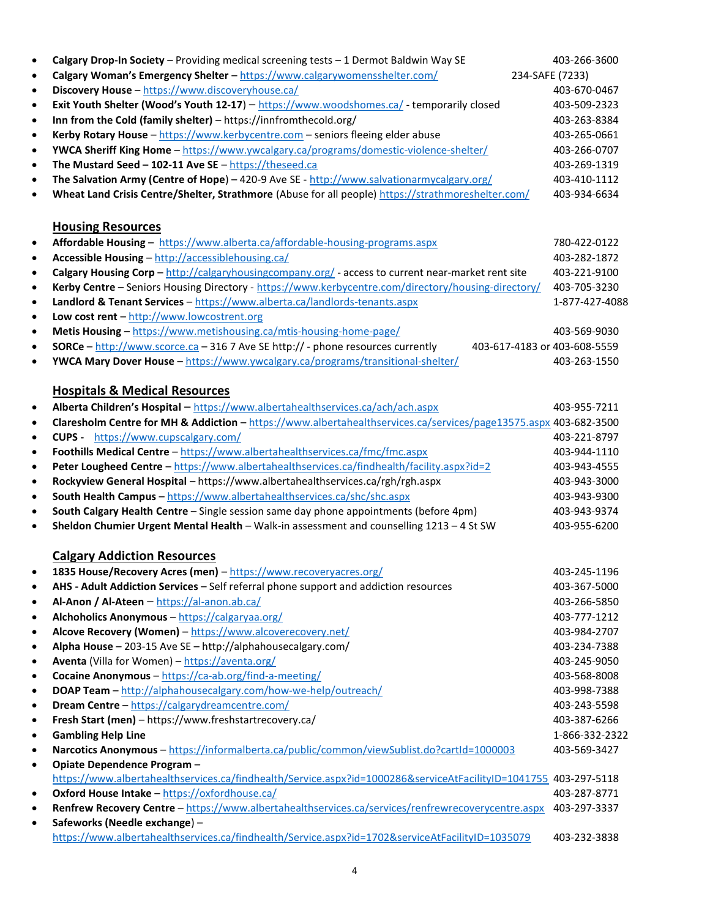| $\bullet$      | Calgary Drop-In Society - Providing medical screening tests - 1 Dermot Baldwin Way SE                                                               | 403-266-3600    |
|----------------|-----------------------------------------------------------------------------------------------------------------------------------------------------|-----------------|
| $\bullet$      | Calgary Woman's Emergency Shelter - https://www.calgarywomensshelter.com/                                                                           | 234-SAFE (7233) |
| $\bullet$      | Discovery House - https://www.discoveryhouse.ca/                                                                                                    | 403-670-0467    |
| $\bullet$      | Exit Youth Shelter (Wood's Youth 12-17) - https://www.woodshomes.ca/ - temporarily closed                                                           | 403-509-2323    |
| $\bullet$      | Inn from the Cold (family shelter) - https://innfromthecold.org/                                                                                    | 403-263-8384    |
| $\bullet$      | Kerby Rotary House - https://www.kerbycentre.com - seniors fleeing elder abuse                                                                      | 403-265-0661    |
| $\bullet$      | YWCA Sheriff King Home - https://www.ywcalgary.ca/programs/domestic-violence-shelter/                                                               | 403-266-0707    |
| $\bullet$      | The Mustard Seed - 102-11 Ave SE - https://theseed.ca                                                                                               | 403-269-1319    |
| $\bullet$      | The Salvation Army (Centre of Hope) - 420-9 Ave SE - http://www.salvationarmycalgary.org/                                                           | 403-410-1112    |
| $\bullet$      | Wheat Land Crisis Centre/Shelter, Strathmore (Abuse for all people) https://strathmoreshelter.com/                                                  | 403-934-6634    |
|                |                                                                                                                                                     |                 |
|                | <b>Housing Resources</b>                                                                                                                            |                 |
| $\bullet$      | Affordable Housing - https://www.alberta.ca/affordable-housing-programs.aspx                                                                        | 780-422-0122    |
| $\bullet$      | Accessible Housing - http://accessiblehousing.ca/                                                                                                   | 403-282-1872    |
| $\bullet$      | Calgary Housing Corp - http://calgaryhousingcompany.org/ - access to current near-market rent site                                                  | 403-221-9100    |
| $\bullet$      | Kerby Centre - Seniors Housing Directory - https://www.kerbycentre.com/directory/housing-directory/                                                 | 403-705-3230    |
| $\bullet$      | Landlord & Tenant Services - https://www.alberta.ca/landlords-tenants.aspx                                                                          | 1-877-427-4088  |
| $\bullet$      | Low cost rent - http://www.lowcostrent.org                                                                                                          |                 |
| $\bullet$      | Metis Housing - https://www.metishousing.ca/mtis-housing-home-page/                                                                                 | 403-569-9030    |
| $\bullet$      | <b>SORCe</b> - http://www.scorce.ca - 316 7 Ave SE http:// - phone resources currently<br>403-617-4183 or 403-608-5559                              |                 |
| $\bullet$      | YWCA Mary Dover House - https://www.ywcalgary.ca/programs/transitional-shelter/                                                                     | 403-263-1550    |
|                |                                                                                                                                                     |                 |
|                | <b>Hospitals &amp; Medical Resources</b>                                                                                                            |                 |
| $\bullet$      | Alberta Children's Hospital - https://www.albertahealthservices.ca/ach/ach.aspx                                                                     | 403-955-7211    |
| $\bullet$      | Claresholm Centre for MH & Addiction - https://www.albertahealthservices.ca/services/page13575.aspx 403-682-3500                                    |                 |
| $\bullet$      | <b>CUPS</b> - https://www.cupscalgary.com/                                                                                                          | 403-221-8797    |
| $\bullet$      | Foothills Medical Centre - https://www.albertahealthservices.ca/fmc/fmc.aspx                                                                        | 403-944-1110    |
| $\bullet$      | Peter Lougheed Centre - https://www.albertahealthservices.ca/findhealth/facility.aspx?id=2                                                          | 403-943-4555    |
| $\bullet$      | Rockyview General Hospital - https://www.albertahealthservices.ca/rgh/rgh.aspx                                                                      | 403-943-3000    |
| $\bullet$      | South Health Campus - https://www.albertahealthservices.ca/shc/shc.aspx                                                                             | 403-943-9300    |
| $\bullet$      | South Calgary Health Centre - Single session same day phone appointments (before 4pm)                                                               | 403-943-9374    |
| $\bullet$      | Sheldon Chumier Urgent Mental Health - Walk-in assessment and counselling 1213 - 4 St SW                                                            | 403-955-6200    |
|                |                                                                                                                                                     |                 |
|                | <b>Calgary Addiction Resources</b>                                                                                                                  |                 |
|                | 1835 House/Recovery Acres (men) - https://www.recoveryacres.org/                                                                                    | 403-245-1196    |
| ٠              | AHS - Adult Addiction Services - Self referral phone support and addiction resources                                                                | 403-367-5000    |
| $\bullet$      | Al-Anon / Al-Ateen - https://al-anon.ab.ca/                                                                                                         | 403-266-5850    |
| ٠              | Alchoholics Anonymous - https://calgaryaa.org/                                                                                                      | 403-777-1212    |
| $\bullet$      | Alcove Recovery (Women) - https://www.alcoverecovery.net/                                                                                           | 403-984-2707    |
| ٠              | Alpha House - 203-15 Ave SE - http://alphahousecalgary.com/                                                                                         | 403-234-7388    |
| ٠              | Aventa (Villa for Women) - https://aventa.org/                                                                                                      | 403-245-9050    |
| ٠              | Cocaine Anonymous - https://ca-ab.org/find-a-meeting/                                                                                               | 403-568-8008    |
| $\bullet$      | DOAP Team - http://alphahousecalgary.com/how-we-help/outreach/                                                                                      | 403-998-7388    |
| ٠              | Dream Centre - https://calgarydreamcentre.com/                                                                                                      | 403-243-5598    |
| $\bullet$      | Fresh Start (men) - https://www.freshstartrecovery.ca/                                                                                              | 403-387-6266    |
| ٠              | <b>Gambling Help Line</b>                                                                                                                           | 1-866-332-2322  |
| $\bullet$      | Narcotics Anonymous - https://informalberta.ca/public/common/viewSublist.do?cartId=1000003                                                          | 403-569-3427    |
| $\bullet$      | Opiate Dependence Program -                                                                                                                         |                 |
|                | https://www.albertahealthservices.ca/findhealth/Service.aspx?id=1000286&serviceAtFacilityID=1041755_403-297-5118                                    |                 |
| $\bullet$      | Oxford House Intake - https://oxfordhouse.ca/<br>Renfrew Recovery Centre - https://www.albertahealthservices.ca/services/renfrewrecoverycentre.aspx | 403-287-8771    |
| ٠<br>$\bullet$ | Safeworks (Needle exchange) -                                                                                                                       | 403-297-3337    |
|                | https://www.albertahealthservices.ca/findhealth/Service.aspx?id=1702&serviceAtFacilityID=1035079                                                    | 403-232-3838    |
|                |                                                                                                                                                     |                 |